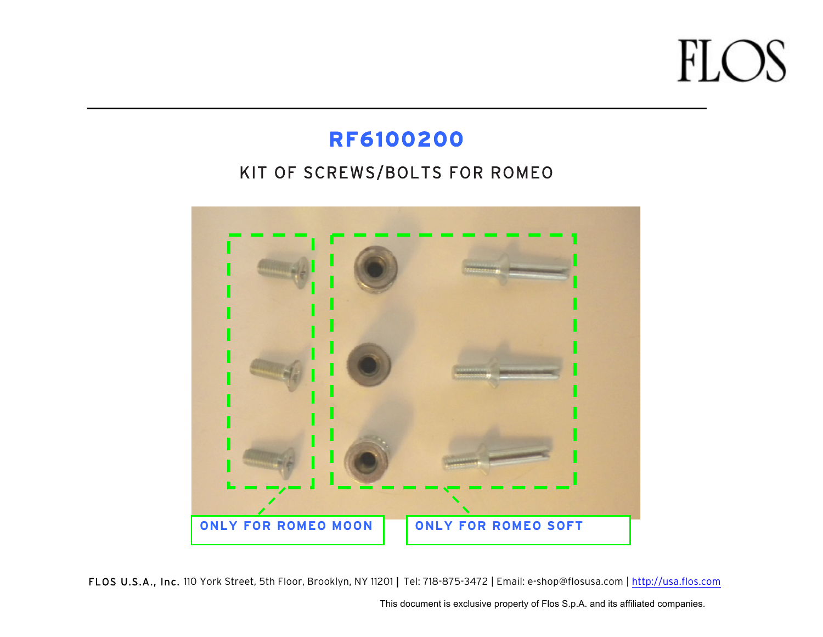#### **RF6100200**

#### KIT OF SCREWS/BOLTS FOR ROMEO



FLOS U.S.A., Inc. 110 York Street, 5th Floor, Brooklyn, NY 11201 | Tel: 718-875-3472 | Email: e-shop@flosusa.com | http://usa.flos.com

This document is exclusive property of Flos S.p.A. and its affiliated companies.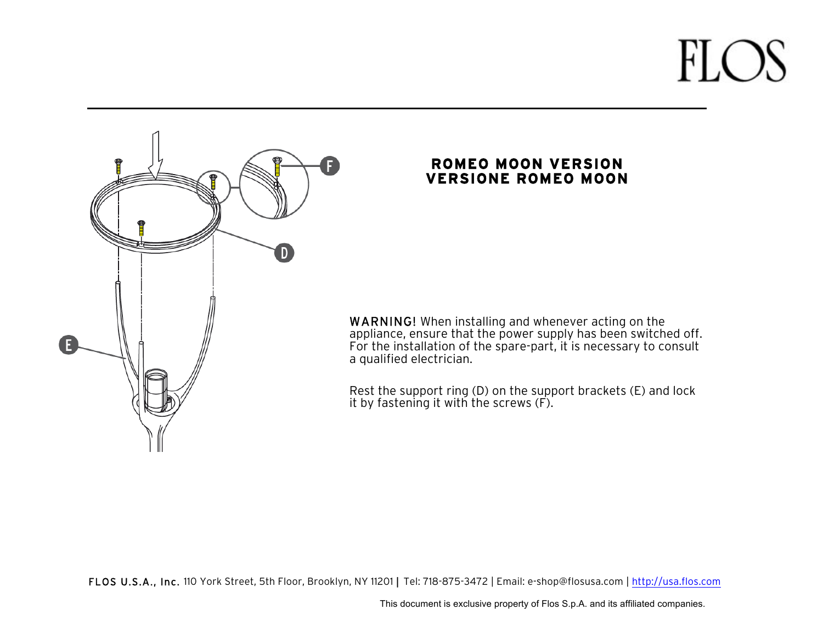

#### **ROMEO MOON VERSION VERSIONE ROMEO MOON**

WARNING! When installing and whenever acting on the appliance, ensure that the power supply has been switched off. For the installation of the spare-part, it is necessary to consult a qualified electrician.

Rest the support ring (D) on the support brackets (E) and lock it by fastening it with the screws (F).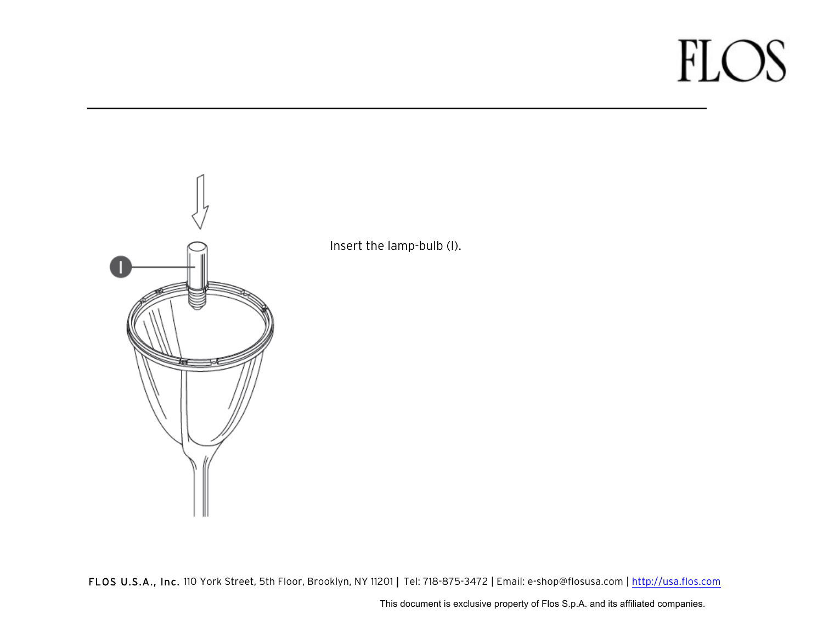

Insert the lamp-bulb (I).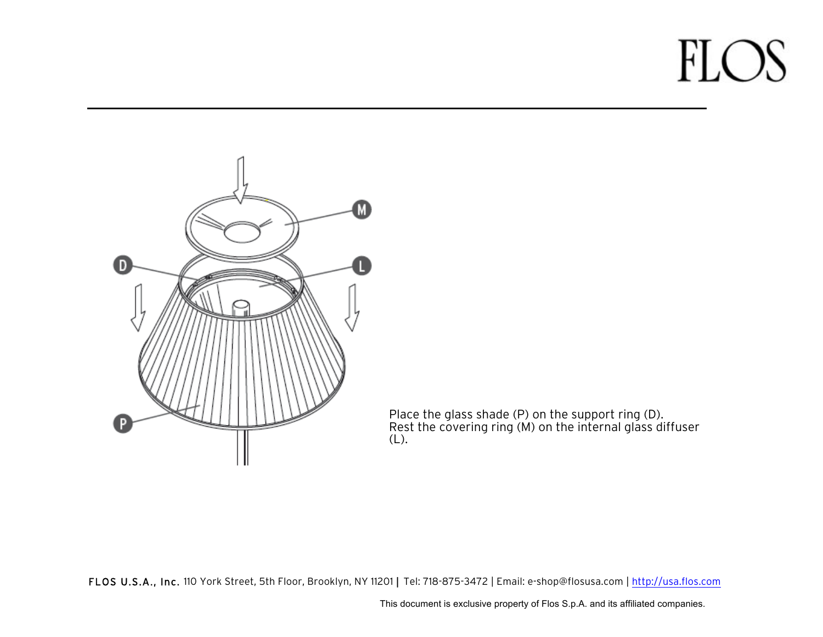

Place the glass shade (P) on the support ring (D). Rest the covering ring (M) on the internal glass diffuser (L).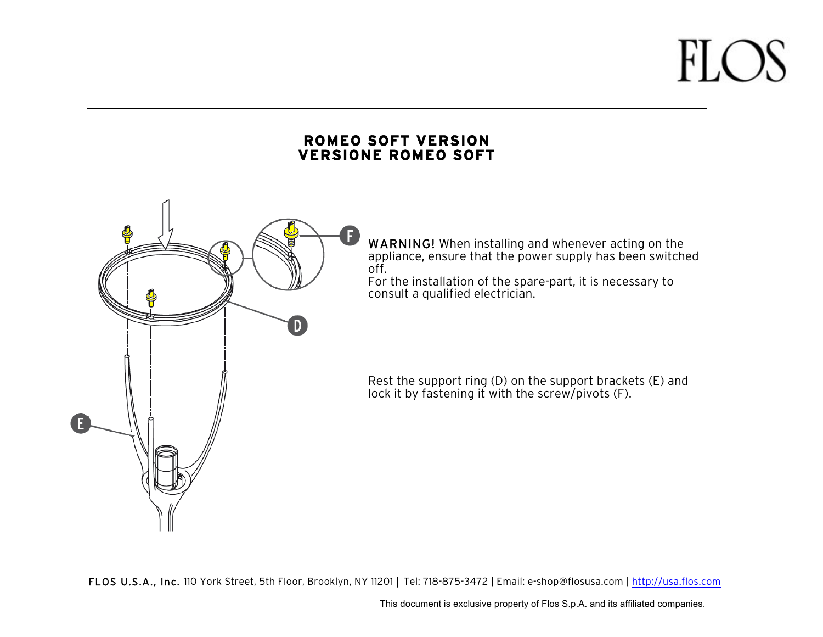#### **ROMEO SOFT VERSION VERSIONE ROMEO SOFT**



WARNING! When installing and whenever acting on the appliance, ensure that the power supply has been switched off.

For the installation of the spare-part, it is necessary to consult a qualified electrician.

Rest the support ring (D) on the support brackets (E) and lock it by fastening it with the screw/pivots (F).